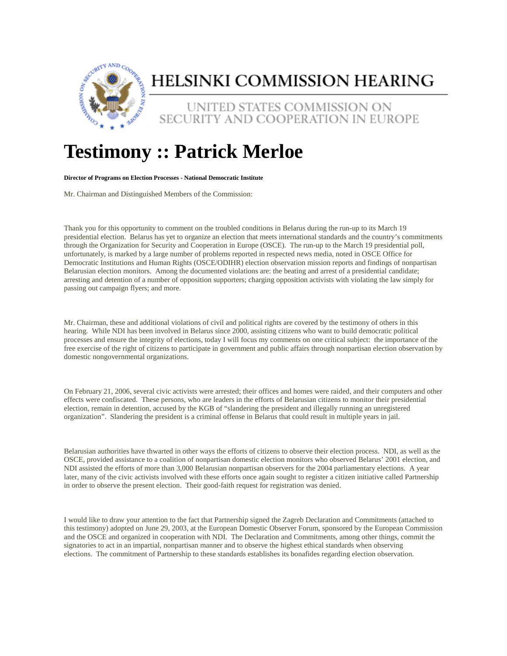

## HELSINKI COMMISSION HEARING

UNITED STATES COMMISSION ON SECURITY AND COOPERATION IN EUROPE

## **Testimony :: Patrick Merloe**

## **Director of Programs on Election Processes - National Democratic Institute**

Mr. Chairman and Distinguished Members of the Commission:

Thank you for this opportunity to comment on the troubled conditions in Belarus during the run-up to its March 19 presidential election. Belarus has yet to organize an election that meets international standards and the country's commitments through the Organization for Security and Cooperation in Europe (OSCE). The run-up to the March 19 presidential poll, unfortunately, is marked by a large number of problems reported in respected news media, noted in OSCE Office for Democratic Institutions and Human Rights (OSCE/ODIHR) election observation mission reports and findings of nonpartisan Belarusian election monitors. Among the documented violations are: the beating and arrest of a presidential candidate; arresting and detention of a number of opposition supporters; charging opposition activists with violating the law simply for passing out campaign flyers; and more.

Mr. Chairman, these and additional violations of civil and political rights are covered by the testimony of others in this hearing. While NDI has been involved in Belarus since 2000, assisting citizens who want to build democratic political processes and ensure the integrity of elections, today I will focus my comments on one critical subject: the importance of the free exercise of the right of citizens to participate in government and public affairs through nonpartisan election observation by domestic nongovernmental organizations.

On February 21, 2006, several civic activists were arrested; their offices and homes were raided, and their computers and other effects were confiscated. These persons, who are leaders in the efforts of Belarusian citizens to monitor their presidential election, remain in detention, accused by the KGB of "slandering the president and illegally running an unregistered organization". Slandering the president is a criminal offense in Belarus that could result in multiple years in jail.

Belarusian authorities have thwarted in other ways the efforts of citizens to observe their election process. NDI, as well as the OSCE, provided assistance to a coalition of nonpartisan domestic election monitors who observed Belarus' 2001 election, and NDI assisted the efforts of more than 3,000 Belarusian nonpartisan observers for the 2004 parliamentary elections. A year later, many of the civic activists involved with these efforts once again sought to register a citizen initiative called Partnership in order to observe the present election. Their good-faith request for registration was denied.

I would like to draw your attention to the fact that Partnership signed the Zagreb Declaration and Commitments (attached to this testimony) adopted on June 29, 2003, at the European Domestic Observer Forum, sponsored by the European Commission and the OSCE and organized in cooperation with NDI. The Declaration and Commitments, among other things, commit the signatories to act in an impartial, nonpartisan manner and to observe the highest ethical standards when observing elections. The commitment of Partnership to these standards establishes its bonafides regarding election observation.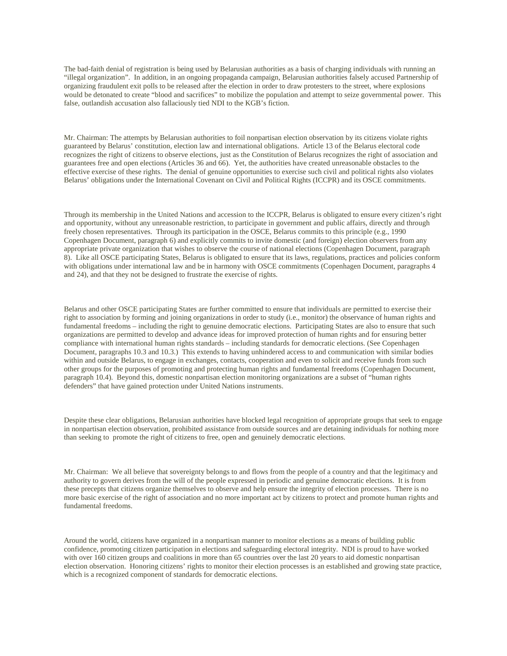The bad-faith denial of registration is being used by Belarusian authorities as a basis of charging individuals with running an "illegal organization". In addition, in an ongoing propaganda campaign, Belarusian authorities falsely accused Partnership of organizing fraudulent exit polls to be released after the election in order to draw protesters to the street, where explosions would be detonated to create "blood and sacrifices" to mobilize the population and attempt to seize governmental power. This false, outlandish accusation also fallaciously tied NDI to the KGB's fiction.

Mr. Chairman: The attempts by Belarusian authorities to foil nonpartisan election observation by its citizens violate rights guaranteed by Belarus' constitution, election law and international obligations. Article 13 of the Belarus electoral code recognizes the right of citizens to observe elections, just as the Constitution of Belarus recognizes the right of association and guarantees free and open elections (Articles 36 and 66). Yet, the authorities have created unreasonable obstacles to the effective exercise of these rights. The denial of genuine opportunities to exercise such civil and political rights also violates Belarus' obligations under the International Covenant on Civil and Political Rights (ICCPR) and its OSCE commitments.

Through its membership in the United Nations and accession to the ICCPR, Belarus is obligated to ensure every citizen's right and opportunity, without any unreasonable restriction, to participate in government and public affairs, directly and through freely chosen representatives. Through its participation in the OSCE, Belarus commits to this principle (e.g., 1990 Copenhagen Document, paragraph 6) and explicitly commits to invite domestic (and foreign) election observers from any appropriate private organization that wishes to observe the course of national elections (Copenhagen Document, paragraph 8). Like all OSCE participating States, Belarus is obligated to ensure that its laws, regulations, practices and policies conform with obligations under international law and be in harmony with OSCE commitments (Copenhagen Document, paragraphs 4 and 24), and that they not be designed to frustrate the exercise of rights.

Belarus and other OSCE participating States are further committed to ensure that individuals are permitted to exercise their right to association by forming and joining organizations in order to study (i.e., monitor) the observance of human rights and fundamental freedoms – including the right to genuine democratic elections. Participating States are also to ensure that such organizations are permitted to develop and advance ideas for improved protection of human rights and for ensuring better compliance with international human rights standards – including standards for democratic elections. (See Copenhagen Document, paragraphs 10.3 and 10.3.) This extends to having unhindered access to and communication with similar bodies within and outside Belarus, to engage in exchanges, contacts, cooperation and even to solicit and receive funds from such other groups for the purposes of promoting and protecting human rights and fundamental freedoms (Copenhagen Document, paragraph 10.4). Beyond this, domestic nonpartisan election monitoring organizations are a subset of "human rights defenders" that have gained protection under United Nations instruments.

Despite these clear obligations, Belarusian authorities have blocked legal recognition of appropriate groups that seek to engage in nonpartisan election observation, prohibited assistance from outside sources and are detaining individuals for nothing more than seeking to promote the right of citizens to free, open and genuinely democratic elections.

Mr. Chairman: We all believe that sovereignty belongs to and flows from the people of a country and that the legitimacy and authority to govern derives from the will of the people expressed in periodic and genuine democratic elections. It is from these precepts that citizens organize themselves to observe and help ensure the integrity of election processes. There is no more basic exercise of the right of association and no more important act by citizens to protect and promote human rights and fundamental freedoms.

Around the world, citizens have organized in a nonpartisan manner to monitor elections as a means of building public confidence, promoting citizen participation in elections and safeguarding electoral integrity. NDI is proud to have worked with over 160 citizen groups and coalitions in more than 65 countries over the last 20 years to aid domestic nonpartisan election observation. Honoring citizens' rights to monitor their election processes is an established and growing state practice, which is a recognized component of standards for democratic elections.